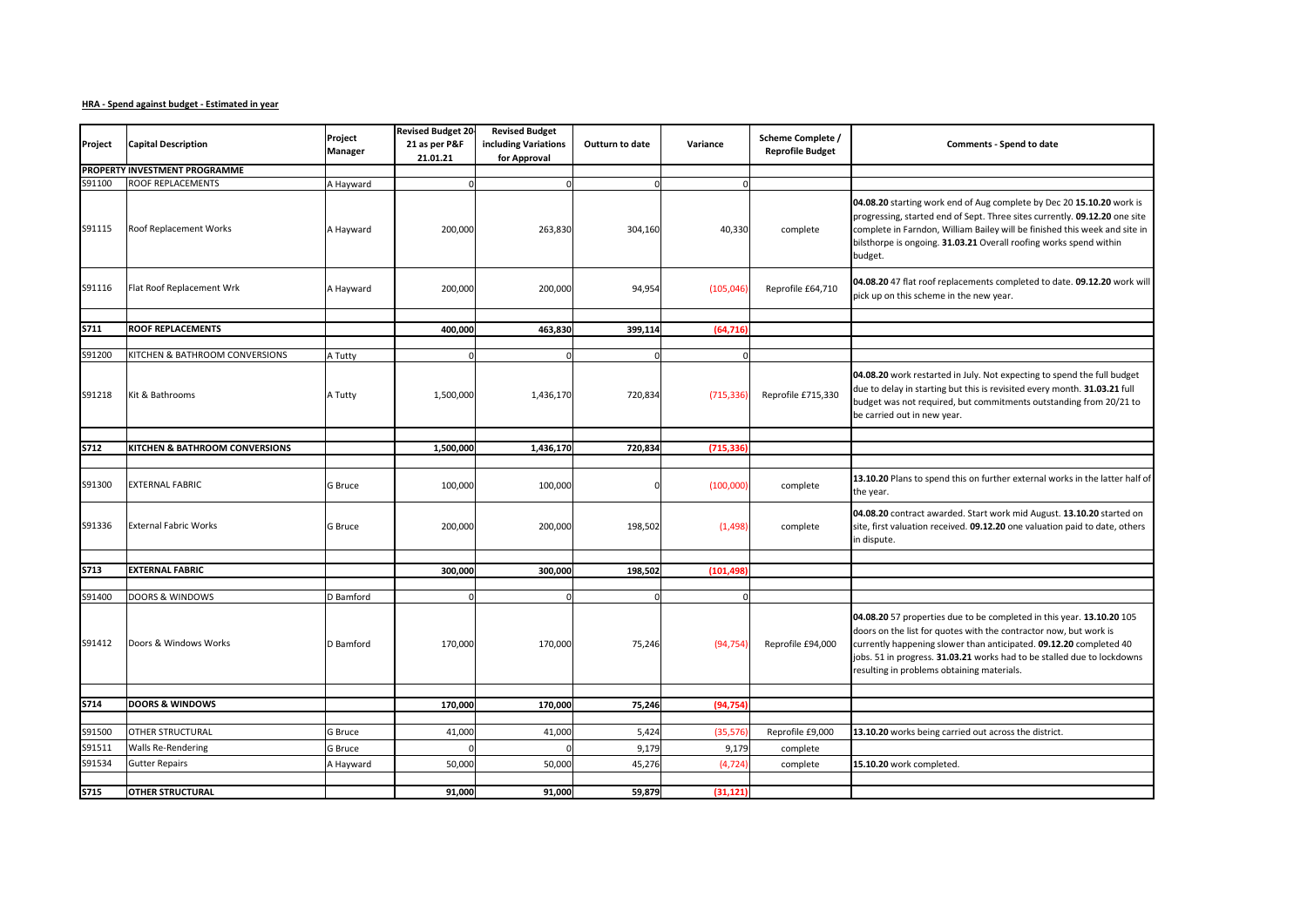## **HRA - Spend against budget - Estimated in year**

| Project          | <b>Capital Description</b>                          | Project                | <b>Revised Budget 20</b><br>21 as per P&F | <b>Revised Budget</b><br>including Variations | Outturn to date | Variance                | Scheme Complete /  | Comments - Spend to date                                                                                                                                                                                                                                                                                                                  |
|------------------|-----------------------------------------------------|------------------------|-------------------------------------------|-----------------------------------------------|-----------------|-------------------------|--------------------|-------------------------------------------------------------------------------------------------------------------------------------------------------------------------------------------------------------------------------------------------------------------------------------------------------------------------------------------|
|                  |                                                     | Manager                | 21.01.21<br>for Approval                  |                                               |                 | <b>Reprofile Budget</b> |                    |                                                                                                                                                                                                                                                                                                                                           |
|                  | PROPERTY INVESTMENT PROGRAMME                       |                        |                                           |                                               |                 |                         |                    |                                                                                                                                                                                                                                                                                                                                           |
| S91100           | <b>ROOF REPLACEMENTS</b>                            | A Hayward              |                                           | $\Omega$                                      | $\Omega$        | $\Omega$                |                    |                                                                                                                                                                                                                                                                                                                                           |
| S91115           | Roof Replacement Works                              | A Hayward              | 200,000                                   | 263,830                                       | 304,160         | 40,330                  | complete           | 04.08.20 starting work end of Aug complete by Dec 20 15.10.20 work is<br>progressing, started end of Sept. Three sites currently. 09.12.20 one site<br>complete in Farndon, William Bailey will be finished this week and site in<br>bilsthorpe is ongoing. 31.03.21 Overall roofing works spend within<br>budget.                        |
| S91116           | Flat Roof Replacement Wrk                           | A Hayward              | 200,000                                   | 200,000                                       | 94,954          | (105, 046)              | Reprofile £64,710  | 04.08.20 47 flat roof replacements completed to date. 09.12.20 work will<br>pick up on this scheme in the new year.                                                                                                                                                                                                                       |
|                  |                                                     |                        |                                           |                                               |                 |                         |                    |                                                                                                                                                                                                                                                                                                                                           |
| <b>S711</b>      | <b>ROOF REPLACEMENTS</b>                            |                        | 400,000                                   | 463,830                                       | 399,114         | (64, 716)               |                    |                                                                                                                                                                                                                                                                                                                                           |
| S91200           | KITCHEN & BATHROOM CONVERSIONS                      | A Tutty                |                                           | $\Omega$                                      |                 | n                       |                    |                                                                                                                                                                                                                                                                                                                                           |
| S91218           | Kit & Bathrooms                                     | A Tutty                | 1,500,000                                 | 1,436,170                                     | 720,834         | (715, 336)              | Reprofile £715,330 | 04.08.20 work restarted in July. Not expecting to spend the full budget<br>due to delay in starting but this is revisited every month. 31.03.21 full<br>budget was not required, but commitments outstanding from 20/21 to<br>be carried out in new year.                                                                                 |
|                  |                                                     |                        |                                           |                                               |                 |                         |                    |                                                                                                                                                                                                                                                                                                                                           |
| <b>S712</b>      | <b>KITCHEN &amp; BATHROOM CONVERSIONS</b>           |                        | 1,500,000                                 | 1,436,170                                     | 720,834         | (715,336                |                    |                                                                                                                                                                                                                                                                                                                                           |
| S91300           | <b>EXTERNAL FABRIC</b>                              | G Bruce                | 100,000                                   | 100,000                                       |                 | (100,000)               | complete           | 13.10.20 Plans to spend this on further external works in the latter half of<br>the year.                                                                                                                                                                                                                                                 |
| S91336           | <b>External Fabric Works</b>                        | <b>G</b> Bruce         | 200,000                                   | 200,000                                       | 198,502         | (1, 498)                | complete           | 04.08.20 contract awarded. Start work mid August. 13.10.20 started on<br>site, first valuation received. 09.12.20 one valuation paid to date, others<br>in dispute.                                                                                                                                                                       |
|                  |                                                     |                        |                                           |                                               |                 |                         |                    |                                                                                                                                                                                                                                                                                                                                           |
| <b>S713</b>      | <b>EXTERNAL FABRIC</b>                              |                        | 300,000                                   | 300,000                                       | 198,502         | (101, 498)              |                    |                                                                                                                                                                                                                                                                                                                                           |
|                  |                                                     |                        |                                           | O                                             |                 |                         |                    |                                                                                                                                                                                                                                                                                                                                           |
| S91400<br>S91412 | <b>DOORS &amp; WINDOWS</b><br>Doors & Windows Works | D Bamford<br>D Bamford | 170,000                                   | 170,000                                       | 75,246          | (94, 754)               | Reprofile £94,000  | 04.08.20 57 properties due to be completed in this year. 13.10.20 105<br>doors on the list for quotes with the contractor now, but work is<br>currently happening slower than anticipated. 09.12.20 completed 40<br>jobs. 51 in progress. 31.03.21 works had to be stalled due to lockdowns<br>resulting in problems obtaining materials. |
|                  |                                                     |                        |                                           |                                               |                 |                         |                    |                                                                                                                                                                                                                                                                                                                                           |
| S714             | <b>DOORS &amp; WINDOWS</b>                          |                        | 170,000                                   | 170,000                                       | 75,246          | (94, 754)               |                    |                                                                                                                                                                                                                                                                                                                                           |
|                  |                                                     |                        |                                           |                                               |                 |                         |                    |                                                                                                                                                                                                                                                                                                                                           |
| S91500           | OTHER STRUCTURAL                                    | G Bruce                | 41,000                                    | 41,000                                        | 5,424           | (35, 576)               | Reprofile £9,000   | 13.10.20 works being carried out across the district.                                                                                                                                                                                                                                                                                     |
| S91511           | <b>Walls Re-Rendering</b>                           | <b>G</b> Bruce         |                                           |                                               | 9,179           | 9,179                   | complete           |                                                                                                                                                                                                                                                                                                                                           |
| S91534           | <b>Gutter Repairs</b>                               | A Hayward              | 50,000                                    | 50,000                                        | 45,276          | (4, 724)                | complete           | 15.10.20 work completed.                                                                                                                                                                                                                                                                                                                  |
|                  |                                                     |                        |                                           |                                               |                 |                         |                    |                                                                                                                                                                                                                                                                                                                                           |
| <b>S715</b>      | <b>OTHER STRUCTURAL</b>                             |                        | 91,000                                    | 91,000                                        | 59,879          | (31, 121)               |                    |                                                                                                                                                                                                                                                                                                                                           |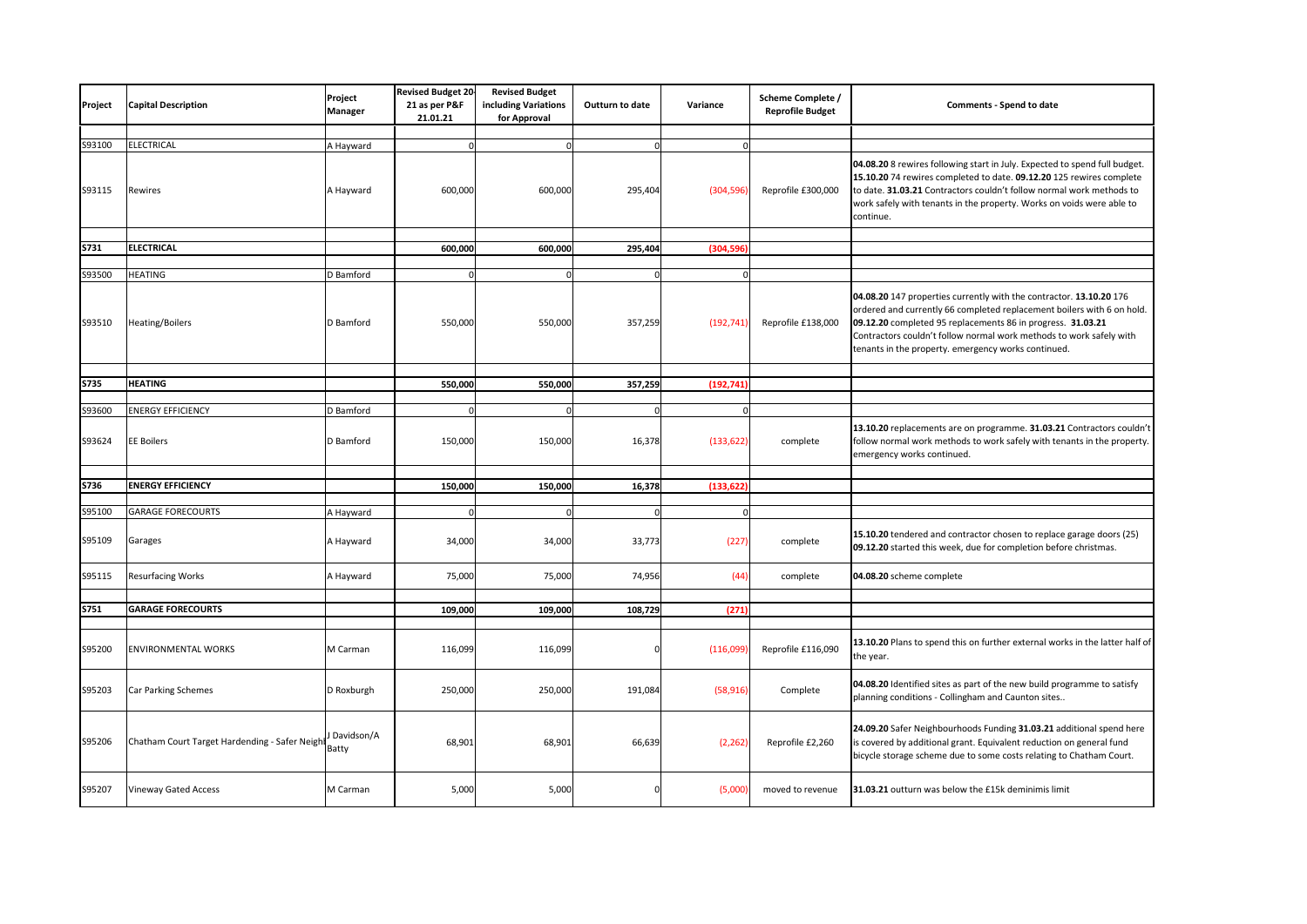| Project     | <b>Capital Description</b>                    | Project<br>Manager     | <b>Revised Budget 20</b><br>21 as per P&F<br>21.01.21 | <b>Revised Budget</b><br>including Variations<br>for Approval | <b>Outturn to date</b> | Variance   | Scheme Complete /<br><b>Reprofile Budget</b> | Comments - Spend to date                                                                                                                                                                                                                                                                                                                   |
|-------------|-----------------------------------------------|------------------------|-------------------------------------------------------|---------------------------------------------------------------|------------------------|------------|----------------------------------------------|--------------------------------------------------------------------------------------------------------------------------------------------------------------------------------------------------------------------------------------------------------------------------------------------------------------------------------------------|
|             |                                               |                        |                                                       |                                                               |                        |            |                                              |                                                                                                                                                                                                                                                                                                                                            |
| S93100      | <b>ELECTRICAL</b>                             | A Hayward              |                                                       | $\Omega$                                                      | $\Omega$               |            |                                              |                                                                                                                                                                                                                                                                                                                                            |
| S93115      | Rewires                                       | A Hayward              | 600,000                                               | 600,000                                                       | 295,404                | (304, 596) | Reprofile £300,000                           | 04.08.20 8 rewires following start in July. Expected to spend full budget.<br>15.10.20 74 rewires completed to date. 09.12.20 125 rewires complete<br>to date. 31.03.21 Contractors couldn't follow normal work methods to<br>work safely with tenants in the property. Works on voids were able to<br>continue.                           |
|             |                                               |                        |                                                       |                                                               |                        |            |                                              |                                                                                                                                                                                                                                                                                                                                            |
| S731        | <b>ELECTRICAL</b>                             |                        | 600,000                                               | 600,000                                                       | 295,404                | (304,596   |                                              |                                                                                                                                                                                                                                                                                                                                            |
|             |                                               |                        |                                                       |                                                               |                        |            |                                              |                                                                                                                                                                                                                                                                                                                                            |
| S93500      | <b>HEATING</b>                                | D Bamford              |                                                       | $\Omega$                                                      | $\Omega$               |            |                                              |                                                                                                                                                                                                                                                                                                                                            |
| S93510      | <b>Heating/Boilers</b>                        | D Bamford              | 550,000                                               | 550,000                                                       | 357,259                | (192, 741) | Reprofile £138,000                           | 04.08.20 147 properties currently with the contractor. 13.10.20 176<br>ordered and currently 66 completed replacement boilers with 6 on hold.<br>09.12.20 completed 95 replacements 86 in progress. 31.03.21<br>Contractors couldn't follow normal work methods to work safely with<br>tenants in the property. emergency works continued. |
|             |                                               |                        |                                                       |                                                               |                        |            |                                              |                                                                                                                                                                                                                                                                                                                                            |
| <b>S735</b> | <b>HEATING</b>                                |                        | 550,000                                               | 550,000                                                       | 357,259                | (192, 741) |                                              |                                                                                                                                                                                                                                                                                                                                            |
| S93600      | <b>ENERGY EFFICIENCY</b>                      |                        |                                                       | $\Omega$                                                      | $\Omega$               | $\Omega$   |                                              |                                                                                                                                                                                                                                                                                                                                            |
| S93624      | <b>EE Boilers</b>                             | D Bamford<br>D Bamford | 150,000                                               | 150,000                                                       | 16,378                 | (133, 622) | complete                                     | 13.10.20 replacements are on programme. 31.03.21 Contractors couldn't<br>follow normal work methods to work safely with tenants in the property.<br>emergency works continued.                                                                                                                                                             |
|             |                                               |                        |                                                       |                                                               |                        |            |                                              |                                                                                                                                                                                                                                                                                                                                            |
| <b>S736</b> | <b>ENERGY EFFICIENCY</b>                      |                        | 150,000                                               | 150,000                                                       | 16,378                 | (133, 622) |                                              |                                                                                                                                                                                                                                                                                                                                            |
|             |                                               |                        |                                                       |                                                               |                        |            |                                              |                                                                                                                                                                                                                                                                                                                                            |
| S95100      | <b>GARAGE FORECOURTS</b>                      | A Hayward              |                                                       | $\Omega$                                                      | $\Omega$               | $\Omega$   |                                              |                                                                                                                                                                                                                                                                                                                                            |
| S95109      | Garages                                       | A Hayward              | 34,000                                                | 34,000                                                        | 33,773                 | (227)      | complete                                     | 15.10.20 tendered and contractor chosen to replace garage doors (25)<br>09.12.20 started this week, due for completion before christmas.                                                                                                                                                                                                   |
| S95115      | <b>Resurfacing Works</b>                      | A Hayward              | 75,000                                                | 75,000                                                        | 74,956                 | (44)       | complete                                     | 04.08.20 scheme complete                                                                                                                                                                                                                                                                                                                   |
| <b>S751</b> | <b>GARAGE FORECOURTS</b>                      |                        | 109,000                                               | 109,000                                                       | 108,729                | (271)      |                                              |                                                                                                                                                                                                                                                                                                                                            |
|             |                                               |                        |                                                       |                                                               |                        |            |                                              |                                                                                                                                                                                                                                                                                                                                            |
| S95200      | <b>ENVIRONMENTAL WORKS</b>                    | M Carman               | 116,099                                               | 116,099                                                       |                        | (116,099)  | Reprofile £116,090                           | 13.10.20 Plans to spend this on further external works in the latter half of<br>the year.                                                                                                                                                                                                                                                  |
| S95203      | Car Parking Schemes                           | D Roxburgh             | 250,000                                               | 250,000                                                       | 191,084                | (58, 916)  | Complete                                     | 04.08.20 Identified sites as part of the new build programme to satisfy<br>planning conditions - Collingham and Caunton sites                                                                                                                                                                                                              |
| S95206      | Chatham Court Target Hardending - Safer Neigh | Davidson/A<br>Batty    | 68,901                                                | 68,901                                                        | 66,639                 | (2, 262)   | Reprofile £2,260                             | 24.09.20 Safer Neighbourhoods Funding 31.03.21 additional spend here<br>is covered by additional grant. Equivalent reduction on general fund<br>bicycle storage scheme due to some costs relating to Chatham Court.                                                                                                                        |
| S95207      | <b>Vineway Gated Access</b>                   | M Carman               | 5,000                                                 | 5,000                                                         | C                      | (5,000)    | moved to revenue                             | 31.03.21 outturn was below the £15k deminimis limit                                                                                                                                                                                                                                                                                        |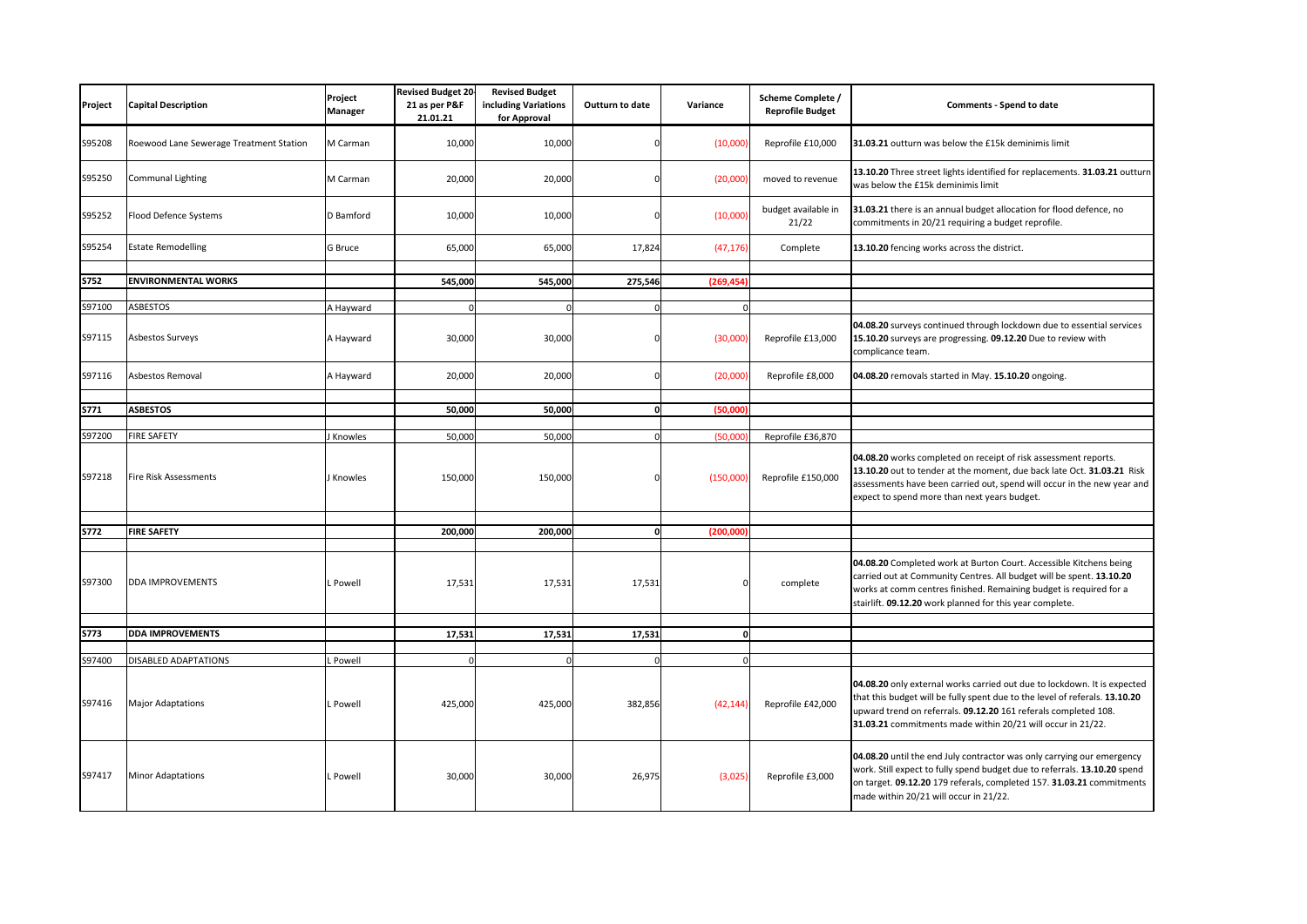| Project          | <b>Capital Description</b>              | Project<br><b>Manager</b> | <b>Revised Budget 20</b><br>21 as per P&F<br>21.01.21 | <b>Revised Budget</b><br>including Variations<br>for Approval | Outturn to date | Variance  | <b>Scheme Complete /</b><br><b>Reprofile Budget</b> | Comments - Spend to date                                                                                                                                                                                                                                                                  |
|------------------|-----------------------------------------|---------------------------|-------------------------------------------------------|---------------------------------------------------------------|-----------------|-----------|-----------------------------------------------------|-------------------------------------------------------------------------------------------------------------------------------------------------------------------------------------------------------------------------------------------------------------------------------------------|
| S95208           | Roewood Lane Sewerage Treatment Station | M Carman                  | 10,000                                                | 10,000                                                        |                 | (10,000)  | Reprofile £10,000                                   | 31.03.21 outturn was below the £15k deminimis limit                                                                                                                                                                                                                                       |
| S95250           | <b>Communal Lighting</b>                | M Carman                  | 20,000                                                | 20,000                                                        |                 | (20,000)  | moved to revenue                                    | 13.10.20 Three street lights identified for replacements. 31.03.21 outturn<br>was below the £15k deminimis limit                                                                                                                                                                          |
| S95252           | Flood Defence Systems                   | D Bamford                 | 10,000                                                | 10,000                                                        |                 | (10,000)  | budget available in<br>21/22                        | 31.03.21 there is an annual budget allocation for flood defence, no<br>commitments in 20/21 requiring a budget reprofile.                                                                                                                                                                 |
| S95254           | <b>Estate Remodelling</b>               | <b>G</b> Bruce            | 65,000                                                | 65,000                                                        | 17,824          | (47, 176) | Complete                                            | 13.10.20 fencing works across the district.                                                                                                                                                                                                                                               |
|                  |                                         |                           |                                                       |                                                               |                 |           |                                                     |                                                                                                                                                                                                                                                                                           |
| <b>S752</b>      | <b>ENVIRONMENTAL WORKS</b>              |                           | 545,000                                               | 545,000                                                       | 275,546         | (269.454  |                                                     |                                                                                                                                                                                                                                                                                           |
|                  |                                         |                           |                                                       | n                                                             |                 |           |                                                     |                                                                                                                                                                                                                                                                                           |
| S97100<br>S97115 | <b>ASBESTOS</b><br>Asbestos Surveys     | A Hayward<br>A Hayward    | 30,000                                                | 30,000                                                        |                 | (30,000)  | Reprofile £13,000                                   | 04.08.20 surveys continued through lockdown due to essential services<br>15.10.20 surveys are progressing. 09.12.20 Due to review with<br>complicance team.                                                                                                                               |
| S97116           | Asbestos Removal                        | A Hayward                 | 20,000                                                | 20,000                                                        | $\Omega$        | (20,000)  | Reprofile £8,000                                    | 04.08.20 removals started in May. 15.10.20 ongoing.                                                                                                                                                                                                                                       |
|                  |                                         |                           |                                                       |                                                               |                 |           |                                                     |                                                                                                                                                                                                                                                                                           |
| S771             | <b>ASBESTOS</b>                         |                           | 50,000                                                | 50,000                                                        | 0               | (50,000   |                                                     |                                                                                                                                                                                                                                                                                           |
| S97200           | <b>FIRE SAFETY</b>                      | <b>Knowles</b>            | 50.000                                                | 50,000                                                        | $\Omega$        | (50.00)   | Reprofile £36,870                                   |                                                                                                                                                                                                                                                                                           |
| S97218           | <b>Fire Risk Assessments</b>            | <b>Knowles</b>            | 150,000                                               | 150,000                                                       |                 | (150,000) | Reprofile £150,000                                  | 04.08.20 works completed on receipt of risk assessment reports.<br>13.10.20 out to tender at the moment, due back late Oct. 31.03.21 Risk<br>assessments have been carried out, spend will occur in the new year and<br>expect to spend more than next years budget.                      |
| S772             | <b>FIRE SAFETY</b>                      |                           | 200,000                                               | 200,000                                                       | $\Omega$        | (200,000  |                                                     |                                                                                                                                                                                                                                                                                           |
|                  |                                         |                           |                                                       |                                                               |                 |           |                                                     |                                                                                                                                                                                                                                                                                           |
| S97300           | <b>DDA IMPROVEMENTS</b>                 | . Powell                  | 17,531                                                | 17,531                                                        | 17,531          |           | complete                                            | 04.08.20 Completed work at Burton Court. Accessible Kitchens being<br>carried out at Community Centres. All budget will be spent. 13.10.20<br>works at comm centres finished. Remaining budget is required for a<br>stairlift. 09.12.20 work planned for this year complete.              |
|                  |                                         |                           |                                                       |                                                               |                 |           |                                                     |                                                                                                                                                                                                                                                                                           |
| <b>S773</b>      | <b>DDA IMPROVEMENTS</b>                 |                           | 17,531                                                | 17,531                                                        | 17,531          | ol        |                                                     |                                                                                                                                                                                                                                                                                           |
| S97400           | <b>DISABLED ADAPTATIONS</b>             | Powell                    |                                                       | $\Omega$                                                      | $\Omega$        | $\Omega$  |                                                     |                                                                                                                                                                                                                                                                                           |
|                  |                                         |                           |                                                       |                                                               |                 |           |                                                     |                                                                                                                                                                                                                                                                                           |
| S97416           | <b>Major Adaptations</b>                | . Powell                  | 425,000                                               | 425,000                                                       | 382,856         | (42, 144) | Reprofile £42,000                                   | 04.08.20 only external works carried out due to lockdown. It is expected<br>that this budget will be fully spent due to the level of referals. 13.10.20<br>upward trend on referrals. 09.12.20 161 referals completed 108.<br>31.03.21 commitments made within 20/21 will occur in 21/22. |
| S97417           | <b>Minor Adaptations</b>                | . Powell                  | 30,000                                                | 30,000                                                        | 26,975          | (3,025)   | Reprofile £3,000                                    | 04.08.20 until the end July contractor was only carrying our emergency<br>work. Still expect to fully spend budget due to referrals. 13.10.20 spend<br>on target. 09.12.20 179 referals, completed 157. 31.03.21 commitments<br>made within 20/21 will occur in 21/22.                    |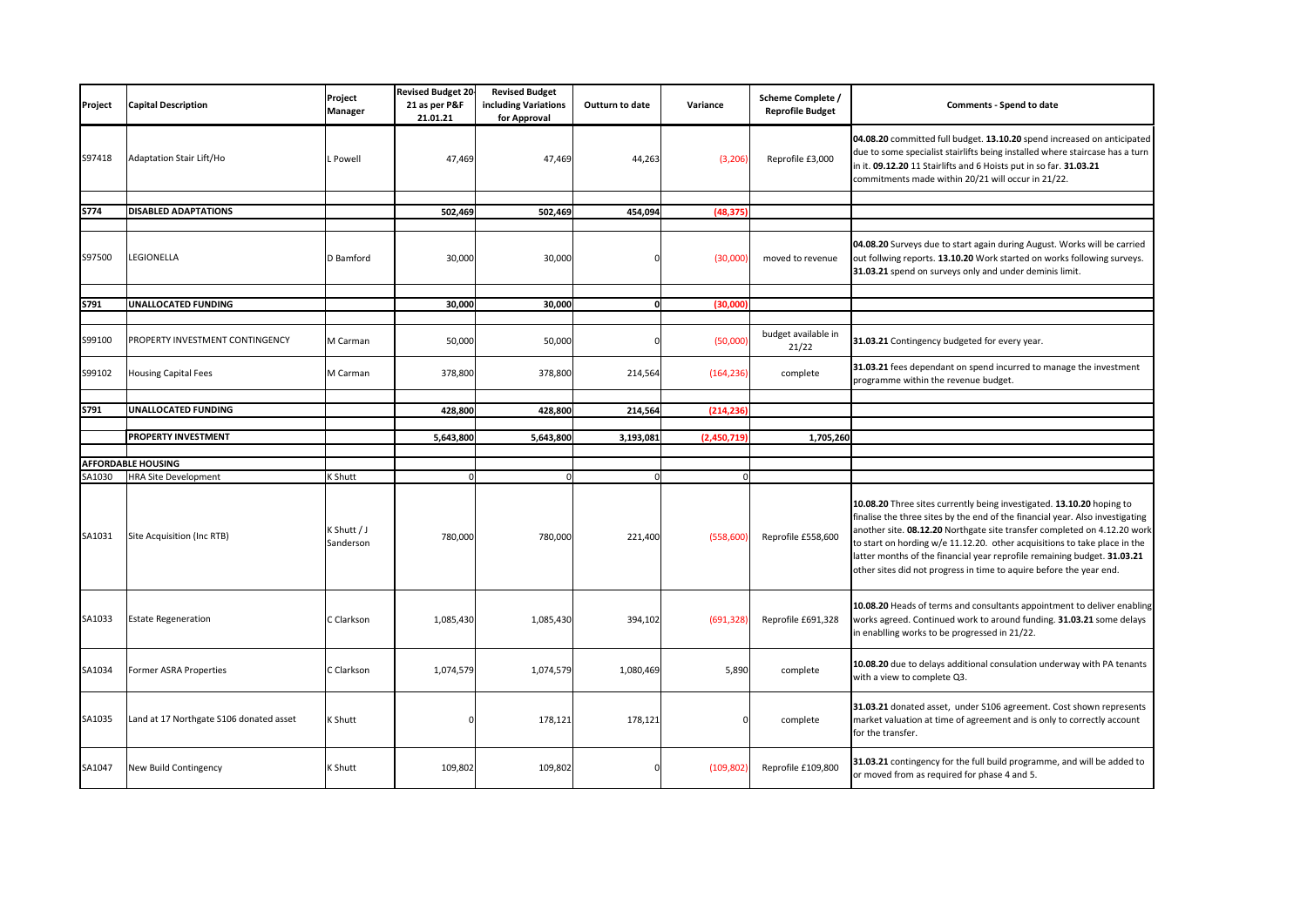| Project | <b>Capital Description</b>              | Project<br>Manager       | <b>Revised Budget 20-</b><br>21 as per P&F<br>21.01.21 | <b>Revised Budget</b><br>including Variations<br>for Approval | Outturn to date | Variance    | Scheme Complete /<br><b>Reprofile Budget</b> | Comments - Spend to date                                                                                                                                                                                                                                                                                                                                                                                                                                           |
|---------|-----------------------------------------|--------------------------|--------------------------------------------------------|---------------------------------------------------------------|-----------------|-------------|----------------------------------------------|--------------------------------------------------------------------------------------------------------------------------------------------------------------------------------------------------------------------------------------------------------------------------------------------------------------------------------------------------------------------------------------------------------------------------------------------------------------------|
| S97418  | Adaptation Stair Lift/Ho                | L Powell                 | 47,469                                                 | 47,469                                                        | 44,263          | (3, 206)    | Reprofile £3,000                             | 04.08.20 committed full budget. 13.10.20 spend increased on anticipated<br>due to some specialist stairlifts being installed where staircase has a turn<br>in it. 09.12.20 11 Stairlifts and 6 Hoists put in so far. 31.03.21<br>commitments made within 20/21 will occur in 21/22.                                                                                                                                                                                |
|         |                                         |                          |                                                        |                                                               |                 |             |                                              |                                                                                                                                                                                                                                                                                                                                                                                                                                                                    |
| S774    | <b>DISABLED ADAPTATIONS</b>             |                          | 502,469                                                | 502,469                                                       | 454,094         | (48, 375)   |                                              |                                                                                                                                                                                                                                                                                                                                                                                                                                                                    |
| S97500  | LEGIONELLA                              | D Bamford                | 30,000                                                 | 30,000                                                        |                 | (30,000)    | moved to revenue                             | 04.08.20 Surveys due to start again during August. Works will be carried<br>out follwing reports. 13.10.20 Work started on works following surveys.<br>31.03.21 spend on surveys only and under deminis limit.                                                                                                                                                                                                                                                     |
|         |                                         |                          |                                                        |                                                               |                 |             |                                              |                                                                                                                                                                                                                                                                                                                                                                                                                                                                    |
| S791    | UNALLOCATED FUNDING                     |                          | 30,000                                                 | 30,000                                                        | <sub>0</sub>    | (30,000)    |                                              |                                                                                                                                                                                                                                                                                                                                                                                                                                                                    |
| S99100  | PROPERTY INVESTMENT CONTINGENCY         | M Carman                 | 50,000                                                 | 50,000                                                        | C               | (50,000)    | budget available in<br>21/22                 | 31.03.21 Contingency budgeted for every year.                                                                                                                                                                                                                                                                                                                                                                                                                      |
| S99102  | <b>Housing Capital Fees</b>             | M Carman                 | 378,800                                                | 378,800                                                       | 214,564         | (164, 236)  | complete                                     | 31.03.21 fees dependant on spend incurred to manage the investment<br>programme within the revenue budget.                                                                                                                                                                                                                                                                                                                                                         |
|         |                                         |                          |                                                        |                                                               |                 |             |                                              |                                                                                                                                                                                                                                                                                                                                                                                                                                                                    |
| S791    | UNALLOCATED FUNDING                     |                          | 428,800                                                | 428,800                                                       | 214,564         | (214, 236)  |                                              |                                                                                                                                                                                                                                                                                                                                                                                                                                                                    |
|         | PROPERTY INVESTMENT                     |                          | 5,643,800                                              | 5,643,800                                                     | 3,193,081       | (2,450,719) | 1,705,260                                    |                                                                                                                                                                                                                                                                                                                                                                                                                                                                    |
|         |                                         |                          |                                                        |                                                               |                 |             |                                              |                                                                                                                                                                                                                                                                                                                                                                                                                                                                    |
|         | <b>AFFORDABLE HOUSING</b>               |                          |                                                        |                                                               |                 |             |                                              |                                                                                                                                                                                                                                                                                                                                                                                                                                                                    |
| SA1030  | <b>HRA Site Development</b>             | K Shutt                  |                                                        |                                                               | $\Omega$        | $\Omega$    |                                              |                                                                                                                                                                                                                                                                                                                                                                                                                                                                    |
| SA1031  | Site Acquisition (Inc RTB)              | K Shutt / J<br>Sanderson | 780,000                                                | 780,000                                                       | 221,400         | (558,600)   | Reprofile £558,600                           | 10.08.20 Three sites currently being investigated. 13.10.20 hoping to<br>finalise the three sites by the end of the financial year. Also investigating<br>another site. 08.12.20 Northgate site transfer completed on 4.12.20 work<br>to start on hording w/e 11.12.20. other acquisitions to take place in the<br>latter months of the financial year reprofile remaining budget. 31.03.21<br>other sites did not progress in time to aquire before the year end. |
| SA1033  | <b>Estate Regeneration</b>              | C Clarkson               | 1,085,430                                              | 1,085,430                                                     | 394,102         | (691, 328)  | Reprofile £691,328                           | 10.08.20 Heads of terms and consultants appointment to deliver enabling<br>works agreed. Continued work to around funding. 31.03.21 some delays<br>in enablling works to be progressed in 21/22.                                                                                                                                                                                                                                                                   |
| SA1034  | Former ASRA Properties                  | C Clarkson               | 1,074,579                                              | 1,074,579                                                     | 1,080,469       | 5,890       | complete                                     | 10.08.20 due to delays additional consulation underway with PA tenants<br>with a view to complete Q3.                                                                                                                                                                                                                                                                                                                                                              |
| SA1035  | Land at 17 Northgate S106 donated asset | K Shutt                  |                                                        | 178,121                                                       | 178,121         |             | complete                                     | 31.03.21 donated asset, under S106 agreement. Cost shown represents<br>market valuation at time of agreement and is only to correctly account<br>for the transfer.                                                                                                                                                                                                                                                                                                 |
| SA1047  | New Build Contingency                   | K Shutt                  | 109,802                                                | 109,802                                                       | $\Omega$        | (109, 802)  | Reprofile £109,800                           | 31.03.21 contingency for the full build programme, and will be added to<br>or moved from as required for phase 4 and 5.                                                                                                                                                                                                                                                                                                                                            |